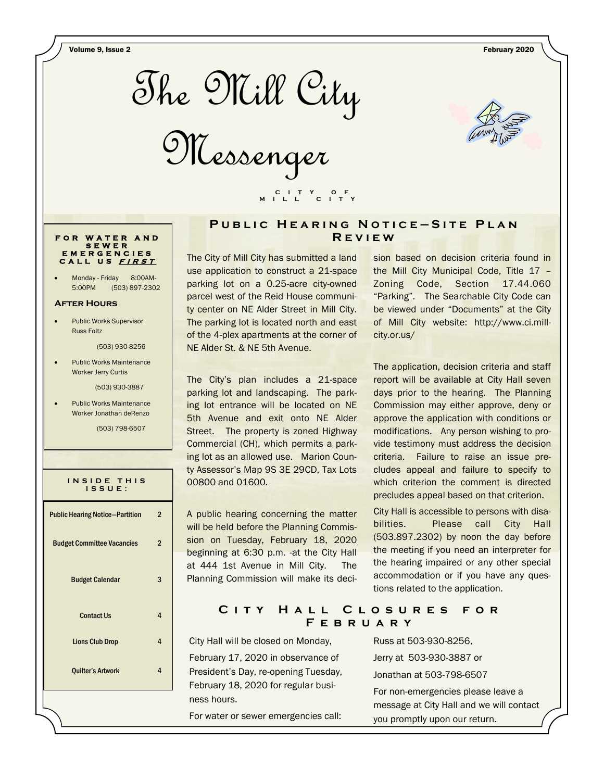Volume 9, Issue 2 February 2020



Messenger



#### **PUBLIC HEARING NOTICE-SITE PLAN R e v i e w**

The City of Mill City has submitted a land use application to construct a 21-space parking lot on a 0.25-acre city-owned parcel west of the Reid House community center on NE Alder Street in Mill City. The parking lot is located north and east of the 4-plex apartments at the corner of NE Alder St. & NE 5th Avenue.

 **C I T Y O F M I L L C I T Y**

The City's plan includes a 21-space parking lot and landscaping. The parking lot entrance will be located on NE 5th Avenue and exit onto NE Alder Street. The property is zoned Highway Commercial (CH), which permits a parking lot as an allowed use. Marion County Assessor's Map 9S 3E 29CD, Tax Lots 00800 and 01600.

A public hearing concerning the matter will be held before the Planning Commission on Tuesday, February 18, 2020 beginning at 6:30 p.m. -at the City Hall at 444 1st Avenue in Mill City. The Planning Commission will make its decision based on decision criteria found in the Mill City Municipal Code, Title 17 – Zoning Code, Section 17.44.060 "Parking". The Searchable City Code can be viewed under "Documents" at the City of Mill City website: http://www.ci.millcity.or.us/

The application, decision criteria and staff report will be available at City Hall seven days prior to the hearing. The Planning Commission may either approve, deny or approve the application with conditions or modifications. Any person wishing to provide testimony must address the decision criteria. Failure to raise an issue precludes appeal and failure to specify to which criterion the comment is directed precludes appeal based on that criterion.

City Hall is accessible to persons with disabilities. Please call City Hall (503.897.2302) by noon the day before the meeting if you need an interpreter for the hearing impaired or any other special accommodation or if you have any questions related to the application.

### C I T Y H A L L C L O S U R E S F O R **F e b r u a r y**

City Hall will be closed on Monday, February 17, 2020 in observance of President's Day, re-opening Tuesday, February 18, 2020 for regular business hours.

For water or sewer emergencies call:

Russ at 503-930-8256, Jerry at 503-930-3887 or Jonathan at 503-798-6507 For non-emergencies please leave a message at City Hall and we will contact you promptly upon our return.

### **F O R W A T E R A N D S E W E R E M E R G E N C I E S C A L L U S <sup>F</sup> <sup>I</sup> <sup>R</sup> <sup>S</sup> <sup>T</sup>**

Monday - Friday 8:00AM-5:00PM (503) 897-2302

#### **After Hours**

 Public Works Supervisor Russ Foltz

(503) 930-8256

 Public Works Maintenance Worker Jerry Curtis

(503) 930-3887

 Public Works Maintenance Worker Jonathan deRenzo

(503) 798-6507

| INSIDE THIS |  |
|-------------|--|
| 1 S S U E : |  |
|             |  |

| <b>Public Hearing Notice-Partition</b><br>2 |   |  |  |
|---------------------------------------------|---|--|--|
| <b>Budget Committee Vacancies</b>           | 2 |  |  |
| <b>Budget Calendar</b>                      |   |  |  |
| <b>Contact Us</b>                           | 4 |  |  |
| <b>Lions Club Drop</b>                      | 4 |  |  |
| <b>Quilter's Artwork</b>                    |   |  |  |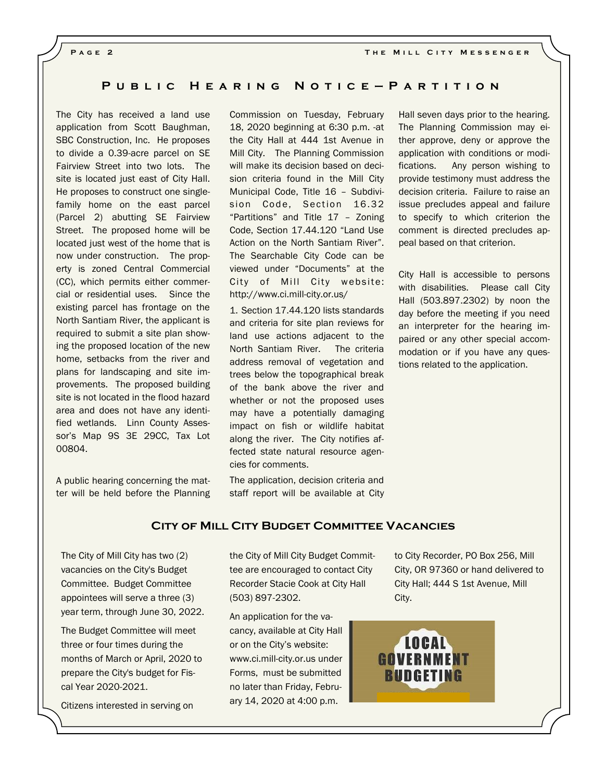#### **P u b l i c H e a r i n g N o t i c e — P a r t i t i o n**

The City has received a land use application from Scott Baughman, SBC Construction, Inc. He proposes to divide a 0.39-acre parcel on SE Fairview Street into two lots. The site is located just east of City Hall. He proposes to construct one singlefamily home on the east parcel (Parcel 2) abutting SE Fairview Street. The proposed home will be located just west of the home that is now under construction. The property is zoned Central Commercial (CC), which permits either commercial or residential uses. Since the existing parcel has frontage on the North Santiam River, the applicant is required to submit a site plan showing the proposed location of the new home, setbacks from the river and plans for landscaping and site improvements. The proposed building site is not located in the flood hazard area and does not have any identified wetlands. Linn County Assessor's Map 9S 3E 29CC, Tax Lot 00804.

A public hearing concerning the matter will be held before the Planning

Commission on Tuesday, February 18, 2020 beginning at 6:30 p.m. -at the City Hall at 444 1st Avenue in Mill City. The Planning Commission will make its decision based on decision criteria found in the Mill City Municipal Code, Title 16 – Subdivision Code, Section 16.32 "Partitions" and Title 17 – Zoning Code, Section 17.44.120 "Land Use Action on the North Santiam River". The Searchable City Code can be viewed under "Documents" at the City of Mill City website: http://www.ci.mill-city.or.us/

1. Section 17.44.120 lists standards and criteria for site plan reviews for land use actions adjacent to the North Santiam River. The criteria address removal of vegetation and trees below the topographical break of the bank above the river and whether or not the proposed uses may have a potentially damaging impact on fish or wildlife habitat along the river. The City notifies affected state natural resource agencies for comments.

The application, decision criteria and staff report will be available at City Hall seven days prior to the hearing. The Planning Commission may either approve, deny or approve the application with conditions or modifications. Any person wishing to provide testimony must address the decision criteria. Failure to raise an issue precludes appeal and failure to specify to which criterion the comment is directed precludes appeal based on that criterion.

City Hall is accessible to persons with disabilities. Please call City Hall (503.897.2302) by noon the day before the meeting if you need an interpreter for the hearing impaired or any other special accommodation or if you have any questions related to the application.

#### **City of Mill City Budget Committee Vacancies**

The City of Mill City has two (2) vacancies on the City's Budget Committee. Budget Committee appointees will serve a three (3) year term, through June 30, 2022.

The Budget Committee will meet three or four times during the months of March or April, 2020 to prepare the City's budget for Fiscal Year 2020-2021.

Citizens interested in serving on

the City of Mill City Budget Committee are encouraged to contact City Recorder Stacie Cook at City Hall (503) 897-2302.

An application for the vacancy, available at City Hall or on the City's website: www.ci.mill-city.or.us under Forms, must be submitted no later than Friday, February 14, 2020 at 4:00 p.m.

to City Recorder, PO Box 256, Mill City, OR 97360 or hand delivered to City Hall; 444 S 1st Avenue, Mill City.

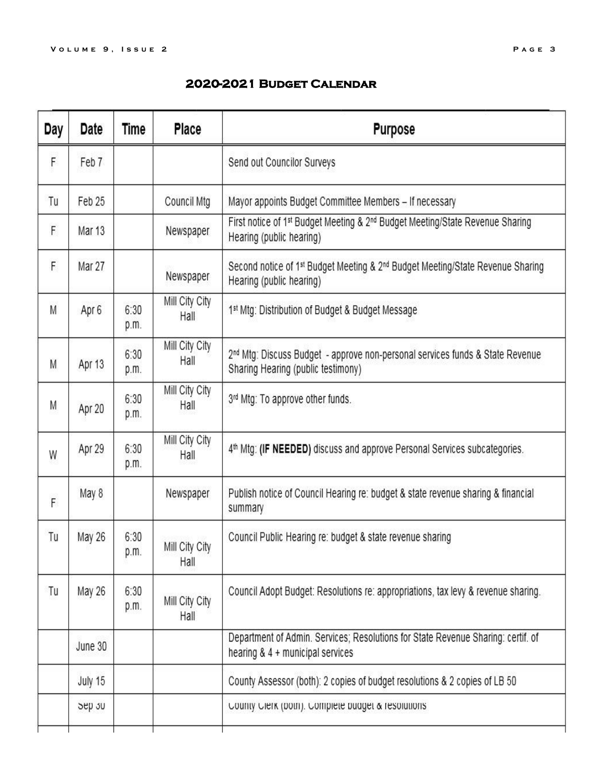# **2020-2021 Budget Calendar**

| Day | Date    | Time         | Place                  | <b>Purpose</b>                                                                                                                     |  |
|-----|---------|--------------|------------------------|------------------------------------------------------------------------------------------------------------------------------------|--|
| F   | Feb 7   |              |                        | Send out Councilor Surveys                                                                                                         |  |
| Tu  | Feb 25  |              | Council Mtg            | Mayor appoints Budget Committee Members - If necessary                                                                             |  |
| F   | Mar 13  |              | Newspaper              | First notice of 1st Budget Meeting & 2 <sup>nd</sup> Budget Meeting/State Revenue Sharing<br>Hearing (public hearing)              |  |
| F   | Mar 27  |              | Newspaper              | Second notice of 1 <sup>st</sup> Budget Meeting & 2 <sup>nd</sup> Budget Meeting/State Revenue Sharing<br>Hearing (public hearing) |  |
| M   | Apr 6   | 6:30<br>p.m. | Mill City City<br>Hall | 1st Mtg: Distribution of Budget & Budget Message                                                                                   |  |
| M.  | Apr 13  | 6:30<br>p.m. | Mill City City<br>Hall | 2 <sup>nd</sup> Mtg: Discuss Budget - approve non-personal services funds & State Revenue<br>Sharing Hearing (public testimony)    |  |
| M   | Apr 20  | 6:30<br>p.m. | Mill City City<br>Hall | 3rd Mtg: To approve other funds.                                                                                                   |  |
| W   | Apr 29  | 6:30<br>p.m. | Mill City City<br>Hall | 4 <sup>th</sup> Mtg: (IF NEEDED) discuss and approve Personal Services subcategories.                                              |  |
| F   | May 8   |              | Newspaper              | Publish notice of Council Hearing re: budget & state revenue sharing & financial<br>summary                                        |  |
| Tu  | May 26  | 6:30<br>p.m. | Mill City City<br>Hall | Council Public Hearing re: budget & state revenue sharing                                                                          |  |
| Tu  | May 26  | 6:30<br>p.m. | Mill City City<br>Hall | Council Adopt Budget: Resolutions re: appropriations, tax levy & revenue sharing.                                                  |  |
|     | June 30 |              |                        | Department of Admin. Services; Resolutions for State Revenue Sharing: certif. of<br>hearing & 4 + municipal services               |  |
|     | July 15 |              |                        | County Assessor (both): 2 copies of budget resolutions & 2 copies of LB 50                                                         |  |
|     | Sep 30  |              |                        | County Clerk (both). Complete budget & resolutions                                                                                 |  |
|     |         |              |                        |                                                                                                                                    |  |